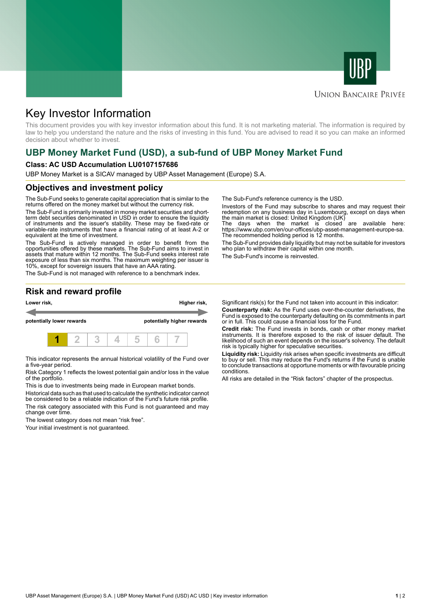



## **UNION BANCAIRE PRIVÉE**

# Key Investor Information

This document provides you with key investor information about this fund. It is not marketing material. The information is required by law to help you understand the nature and the risks of investing in this fund. You are advised to read it so you can make an informed decision about whether to invest.

# **UBP Money Market Fund (USD), a sub-fund of UBP Money Market Fund**

#### **Class: AC USD Accumulation LU0107157686**

UBP Money Market is a SICAV managed by UBP Asset Management (Europe) S.A.

#### **Objectives and investment policy**

The Sub-Fund seeks to generate capital appreciation that is similar to the returns offered on the money market but without the currency risk.

The Sub-Fund is primarily invested in money market securities and shortterm debt securities denominated in USD in order to ensure the liquidity of instruments and the issuer's stability. These may be fixed-rate or variable-rate instruments that have a financial rating of at least A-2 or equivalent at the time of investment.

The Sub-Fund is actively managed in order to benefit from the opportunities offered by these markets. The Sub-Fund aims to invest in assets that mature within 12 months. The Sub-Fund seeks interest rate exposure of less than six months. The maximum weighting per issuer is 10%, except for sovereign issuers that have an AAA rating.

The Sub-Fund is not managed with reference to a benchmark index.

The Sub-Fund's reference currency is the USD.

Investors of the Fund may subscribe to shares and may request their redemption on any business day in Luxembourg, except on days when the main market is closed: United Kingdom (UK)

The days when the market is closed are available here: https://www.ubp.com/en/our-offices/ubp-asset-management-europe-sa. The recommended holding period is 12 months.

The Sub-Fund provides daily liquidity but may not be suitable for investors who plan to withdraw their capital within one month.

The Sub-Fund's income is reinvested.

### **Risk and reward profile**



This indicator represents the annual historical volatility of the Fund over a five-year period.

Risk Category 1 reflects the lowest potential gain and/or loss in the value of the portfolio.

This is due to investments being made in European market bonds.

Historical data such as that used to calculate the synthetic indicator cannot be considered to be a reliable indication of the Fund's future risk profile. The risk category associated with this Fund is not guaranteed and may change over time.

The lowest category does not mean "risk free".

Your initial investment is not guaranteed.

Significant risk(s) for the Fund not taken into account in this indicator: **Counterparty risk:** As the Fund uses over-the-counter derivatives, the Fund is exposed to the counterparty defaulting on its commitments in part or in full. This could cause a financial loss for the Fund.

**Credit risk:** The Fund invests in bonds, cash or other money market instruments. It is therefore exposed to the risk of issuer default. The likelihood of such an event depends on the issuer's solvency. The default risk is typically higher for speculative securities.

**Liquidity risk:** Liquidity risk arises when specific investments are difficult to buy or sell. This may reduce the Fund's returns if the Fund is unable to conclude transactions at opportune moments or with favourable pricing conditions.

All risks are detailed in the "Risk factors" chapter of the prospectus.